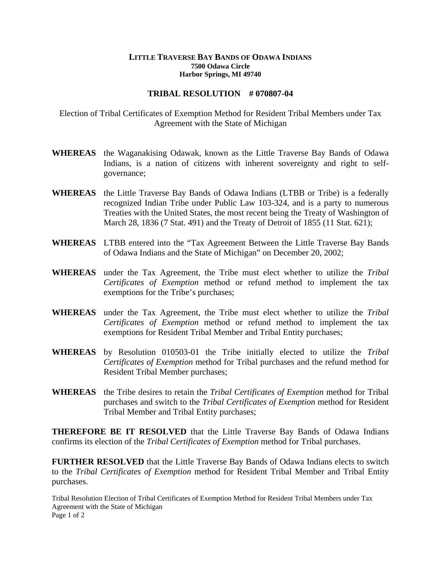## **LITTLE TRAVERSE BAY BANDS OF ODAWA INDIANS 7500 Odawa Circle Harbor Springs, MI 49740**

## **TRIBAL RESOLUTION # 070807-04**

Election of Tribal Certificates of Exemption Method for Resident Tribal Members under Tax Agreement with the State of Michigan

- **WHEREAS** the Waganakising Odawak, known as the Little Traverse Bay Bands of Odawa Indians, is a nation of citizens with inherent sovereignty and right to selfgovernance;
- **WHEREAS** the Little Traverse Bay Bands of Odawa Indians (LTBB or Tribe) is a federally recognized Indian Tribe under Public Law 103-324, and is a party to numerous Treaties with the United States, the most recent being the Treaty of Washington of March 28, 1836 (7 Stat. 491) and the Treaty of Detroit of 1855 (11 Stat. 621);
- **WHEREAS** LTBB entered into the "Tax Agreement Between the Little Traverse Bay Bands of Odawa Indians and the State of Michigan" on December 20, 2002;
- **WHEREAS** under the Tax Agreement, the Tribe must elect whether to utilize the *Tribal Certificates of Exemption* method or refund method to implement the tax exemptions for the Tribe's purchases;
- **WHEREAS** under the Tax Agreement, the Tribe must elect whether to utilize the *Tribal Certificates of Exemption* method or refund method to implement the tax exemptions for Resident Tribal Member and Tribal Entity purchases;
- **WHEREAS** by Resolution 010503-01 the Tribe initially elected to utilize the *Tribal Certificates of Exemption* method for Tribal purchases and the refund method for Resident Tribal Member purchases;
- **WHEREAS** the Tribe desires to retain the *Tribal Certificates of Exemption* method for Tribal purchases and switch to the *Tribal Certificates of Exemption* method for Resident Tribal Member and Tribal Entity purchases;

**THEREFORE BE IT RESOLVED** that the Little Traverse Bay Bands of Odawa Indians confirms its election of the *Tribal Certificates of Exemption* method for Tribal purchases.

**FURTHER RESOLVED** that the Little Traverse Bay Bands of Odawa Indians elects to switch to the *Tribal Certificates of Exemption* method for Resident Tribal Member and Tribal Entity purchases.

Tribal Resolution Election of Tribal Certificates of Exemption Method for Resident Tribal Members under Tax Agreement with the State of Michigan Page 1 of 2